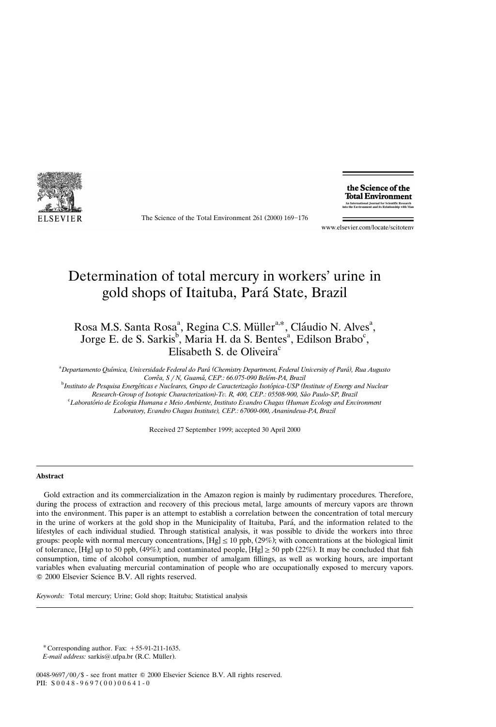

The Science of the Total Environment  $261 (2000) 169 - 176$ 

the Science of the **Total Environment** An International Journal for Scientific Research<br>into the Environment and its Relationship with Ma

www.elsevier.com/locate/scitotenv

# Determination of total mercury in workers' urine in gold shops of Itaituba, Para State, Brazil ´

Rosa M.S. Santa Rosa<sup>a</sup>, Regina C.S. Müller<sup>a,\*</sup>, Cláudio N. Alves<sup>a</sup>, Jorge E. de S. Sarkis<sup>b</sup>, Maria H. da S. Bentes<sup>a</sup>, Edilson Brabo<sup>c</sup>, Elisabeth S. de Oliveira $\text{c}$ 

<sup>a</sup> Departamento Química, Universidade Federal do Pará (Chemistry Department, Federal University of Pará), Rua Augusto *Correa, S* ˆ´ ´ <sup>r</sup>*N, Guama, CEP.: 66.075-090 Belem-PA, Brazil* <sup>b</sup>

<sup>b</sup>Instituto de Pesquisa Energéticas e Nucleares, Grupo de Caracterização Isotópica-USP (Institute of Energy and Nuclear

*Research-Group of Isotopic Characterization -T)* ¨*. R, 400, CEP.: 05508-900, Sao Paulo-SP, Brazil* ˜ <sup>c</sup> *Laboratorio de Ecologia Humana e Meio Ambiente, Instituto E* ´ ¨*andro Chagas Human Ecology and En (* ¨*ironment*

Laboratory, Evandro Chagas Institute), CEP.: 67000-000, Ananindeua-PA, Brazil

Received 27 September 1999; accepted 30 April 2000

### **Abstract**

Gold extraction and its commercialization in the Amazon region is mainly by rudimentary procedures. Therefore, during the process of extraction and recovery of this precious metal, large amounts of mercury vapors are thrown into the environment. This paper is an attempt to establish a correlation between the concentration of total mercury in the urine of workers at the gold shop in the Municipality of Itaituba, Pará, and the information related to the lifestyles of each individual studied. Through statistical analysis, it was possible to divide the workers into three groups: people with normal mercury concentrations,  $[Hg] \le 10$  ppb, (29%); with concentrations at the biological limit of tolerance, [Hg] up to 50 ppb, (49%); and contaminated people, [Hg]  $\geq$  50 ppb (22%). It may be concluded that fish consumption, time of alcohol consumption, number of amalgam fillings, as well as working hours, are important variables when evaluating mercurial contamination of people who are occupationally exposed to mercury vapors.  $© 2000 Elsevier Science B.V. All rights reserved.$ 

*Keywords:* Total mercury; Urine; Gold shop; Itaituba; Statistical analysis

\* Corresponding author. Fax:  $+55-91-211-1635$ .

*E-mail address:* sarkis@.ufpa.br (R.C. Müller).

 $0048-9697/00$  /\$ - see front matter  $\odot$  2000 Elsevier Science B.V. All rights reserved. PII:  $S 0 0 4 8 - 9 6 9 7 (0 0) 0 0 6 4 1 - 0$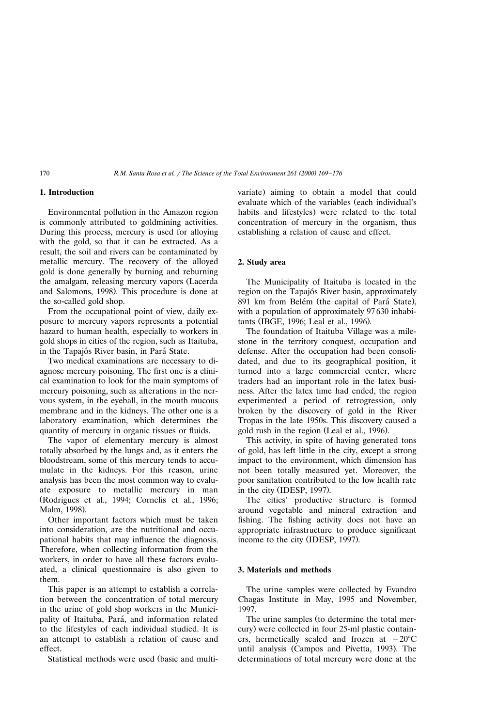## **1. Introduction**

Environmental pollution in the Amazon region is commonly attributed to goldmining activities. During this process, mercury is used for alloying with the gold, so that it can be extracted. As a result, the soil and rivers can be contaminated by metallic mercury. The recovery of the alloyed gold is done generally by burning and reburning the amalgam, releasing mercury vapors (Lacerda and Salomons, 1998). This procedure is done at the so-called gold shop.

From the occupational point of view, daily exposure to mercury vapors represents a potential hazard to human health, especially to workers in gold shops in cities of the region, such as Itaituba, in the Tapajós River basin, in Pará State.

Two medical examinations are necessary to diagnose mercury poisoning. The first one is a clinical examination to look for the main symptoms of mercury poisoning, such as alterations in the nervous system, in the eyeball, in the mouth mucous membrane and in the kidneys. The other one is a laboratory examination, which determines the quantity of mercury in organic tissues or fluids.

The vapor of elementary mercury is almost totally absorbed by the lungs and, as it enters the bloodstream, some of this mercury tends to accumulate in the kidneys. For this reason, urine analysis has been the most common way to evaluate exposure to metallic mercury in man (Rodrigues et al., 1994; Cornelis et al., 1996; Malm, 1998).

Other important factors which must be taken into consideration, are the nutritional and occupational habits that may influence the diagnosis. Therefore, when collecting information from the workers, in order to have all these factors evaluated, a clinical questionnaire is also given to them.

This paper is an attempt to establish a correlation between the concentration of total mercury in the urine of gold shop workers in the Municipality of Itaituba, Pará, and information related to the lifestyles of each individual studied. It is an attempt to establish a relation of cause and effect.

Statistical methods were used (basic and multi-

variate) aiming to obtain a model that could evaluate which of the variables (each individual's habits and lifestyles) were related to the total concentration of mercury in the organism, thus establishing a relation of cause and effect.

# **2. Study area**

The Municipality of Itaituba is located in the region on the Tapajós River basin, approximately 891 km from Belém (the capital of Pará State), with a population of approximately 97 630 inhabitants (IBGE, 1996; Leal et al., 1996).

The foundation of Itaituba Village was a milestone in the territory conquest, occupation and defense. After the occupation had been consolidated, and due to its geographical position, it turned into a large commercial center, where traders had an important role in the latex business. After the latex time had ended, the region experimented a period of retrogression, only broken by the discovery of gold in the River Tropas in the late 1950s. This discovery caused a gold rush in the region (Leal et al., 1996).

This activity, in spite of having generated tons of gold, has left little in the city, except a strong impact to the environment, which dimension has not been totally measured yet. Moreover, the poor sanitation contributed to the low health rate in the city (IDESP,  $1997$ ).

The cities' productive structure is formed around vegetable and mineral extraction and fishing. The fishing activity does not have an appropriate infrastructure to produce significant income to the city (IDESP, 1997).

## **3. Materials and methods**

The urine samples were collected by Evandro Chagas Institute in May, 1995 and November, 1997.

The urine samples (to determine the total mercury) were collected in four 25-ml plastic containers, hermetically sealed and frozen at  $-20^{\circ}$ C until analysis (Campos and Pivetta, 1993). The determinations of total mercury were done at the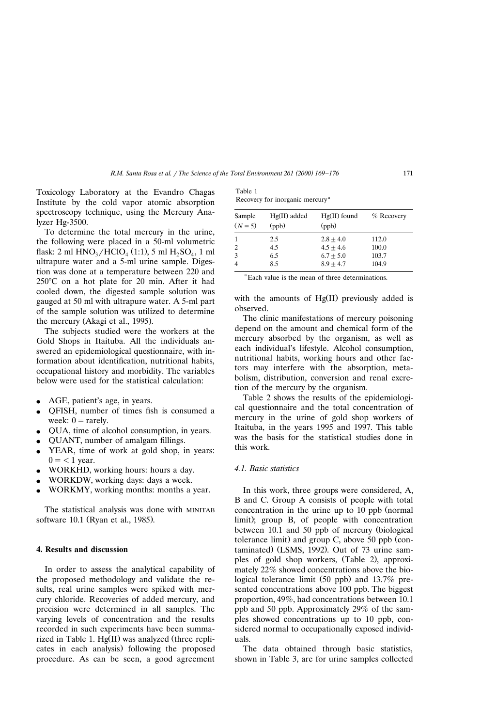Toxicology Laboratory at the Evandro Chagas Institute by the cold vapor atomic absorption spectroscopy technique, using the Mercury Analyzer Hg-3500.

To determine the total mercury in the urine, the following were placed in a 50-ml volumetric flask: 2 ml  $HNO<sub>3</sub>/HClO<sub>4</sub>$  (1:1), 5 ml  $H<sub>3</sub>SO<sub>4</sub>$ , 1 ml ultrapure water and a 5-ml urine sample. Digestion was done at a temperature between 220 and  $250^{\circ}$ C on a hot plate for 20 min. After it had cooled down, the digested sample solution was gauged at 50 ml with ultrapure water. A 5-ml part of the sample solution was utilized to determine the mercury (Akagi et al., 1995).

The subjects studied were the workers at the Gold Shops in Itaituba. All the individuals answered an epidemiological questionnaire, with information about identification, nutritional habits, occupational history and morbidity. The variables below were used for the statistical calculation:

- AGE, patient's age, in years.
- <sup>v</sup> QFISH, number of times fish is consumed a week:  $0 =$  rarely.
- QUA, time of alcohol consumption, in years.
- QUANT, number of amalgam fillings.
- YEAR, time of work at gold shop, in years:  $0 = 1$  year.
- WORKHD, working hours: hours a day.
- WORKDW, working days: days a week.
- WORKMY, working months: months a year.

The statistical analysis was done with MINITAB software 10.1 (Ryan et al., 1985).

# **4. Results and discussion**

In order to assess the analytical capability of the proposed methodology and validate the results, real urine samples were spiked with mercury chloride. Recoveries of added mercury, and precision were determined in all samples. The varying levels of concentration and the results recorded in such experiments have been summarized in Table 1.  $Hg(II)$  was analyzed (three replicates in each analysis) following the proposed procedure. As can be seen, a good agreement

| Table 1                                     |  |
|---------------------------------------------|--|
| Recovery for inorganic mercury <sup>a</sup> |  |

| Sample<br>$(N = 5)$ | $Hg(II)$ added<br>(ppb) | $Hg(II)$ found<br>(ppb) | $%$ Recovery |
|---------------------|-------------------------|-------------------------|--------------|
| 1                   | 2.5                     | $2.8 + 4.0$             | 112.0        |
| 2                   | 4.5                     | $4.5 + 4.6$             | 100.0        |
| 3                   | 6.5                     | $6.7 + 5.0$             | 103.7        |
| $\overline{4}$      | 8.5                     | $8.9 + 4.7$             | 104.9        |

<sup>a</sup> Each value is the mean of three determinations.

with the amounts of  $Hg(II)$  previously added is observed.

The clinic manifestations of mercury poisoning depend on the amount and chemical form of the mercury absorbed by the organism, as well as each individual's lifestyle. Alcohol consumption, nutritional habits, working hours and other factors may interfere with the absorption, metabolism, distribution, conversion and renal excretion of the mercury by the organism.

Table 2 shows the results of the epidemiological questionnaire and the total concentration of mercury in the urine of gold shop workers of Itaituba, in the years 1995 and 1997. This table was the basis for the statistical studies done in this work.

# *4.1. Basic statistics*

In this work, three groups were considered, A, B and C. Group A consists of people with total concentration in the urine up to  $10$  ppb (normal limit); group B, of people with concentration between 10.1 and 50 ppb of mercury (biological tolerance limit) and group C, above  $50$  ppb (contaminated) (LSMS, 1992). Out of  $73$  urine samples of gold shop workers, (Table 2), approximately 22% showed concentrations above the biological tolerance limit  $(50 \text{ pb})$  and  $13.7\%$  presented concentrations above 100 ppb. The biggest proportion, 49%, had concentrations between 10.1 ppb and 50 ppb. Approximately 29% of the samples showed concentrations up to 10 ppb, considered normal to occupationally exposed individuals.

The data obtained through basic statistics, shown in Table 3, are for urine samples collected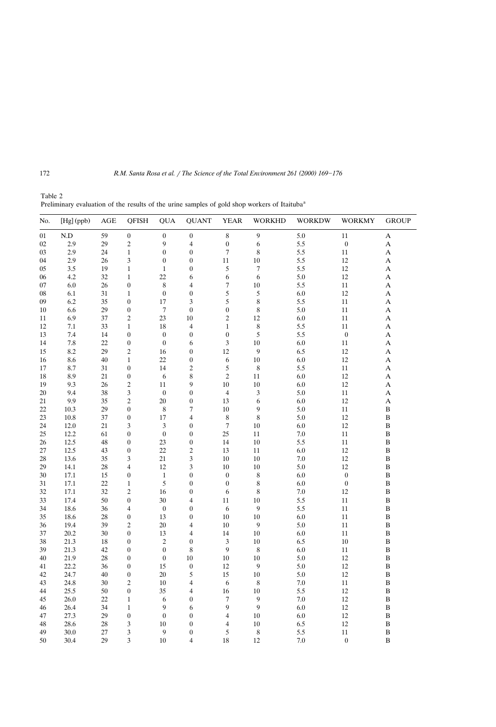| No. | [Hg] (ppb)  | <b>AGE</b> | <b>QFISH</b>     | <b>QUA</b>                 | <b>QUANT</b>     | <b>YEAR</b>      | <b>WORKHD</b> | <b>WORKDW</b> | <b>WORKMY</b>    | <b>GROUP</b> |
|-----|-------------|------------|------------------|----------------------------|------------------|------------------|---------------|---------------|------------------|--------------|
| 01  | ${\rm N.D}$ | 59         | $\boldsymbol{0}$ | $\boldsymbol{0}$           | $\boldsymbol{0}$ | $\,$ 8 $\,$      | 9             | 5.0           | 11               | A            |
| 02  | 2.9         | 29         | $\overline{2}$   | 9                          | 4                | $\boldsymbol{0}$ | 6             | 5.5           | $\bf{0}$         | A            |
| 03  | 2.9         | 24         | $\mathbf{1}$     | $\boldsymbol{0}$           | $\boldsymbol{0}$ | $\boldsymbol{7}$ | 8             | 5.5           | 11               | A            |
| 04  | 2.9         | 26         | 3                | $\boldsymbol{0}$           | $\boldsymbol{0}$ | 11               | 10            | 5.5           | 12               | A            |
| 05  | 3.5         | 19         | $\mathbf{1}$     | $\mathbf{1}$               | $\boldsymbol{0}$ | 5                | 7             | 5.5           | 12               | A            |
| 06  | 4.2         | 32         | $\mathbf{1}$     | 22                         | 6                | 6                | 6             | 5.0           | 12               | A            |
| 07  | 6.0         | 26         | $\boldsymbol{0}$ | 8                          | 4                | 7                | 10            | 5.5           | 11               | A            |
| 08  | 6.1         | 31         | $\mathbf{1}$     | $\boldsymbol{0}$           | $\boldsymbol{0}$ | 5                | 5             | 6.0           | 12               | A            |
| 09  | 6.2         | 35         | $\boldsymbol{0}$ | 17                         | 3                | 5                | 8             | 5.5           | 11               | A            |
| 10  | 6.6         | 29         | $\boldsymbol{0}$ | $\tau$                     | $\boldsymbol{0}$ | $\boldsymbol{0}$ | 8             | 5.0           | 11               | A            |
| 11  | 6.9         | 37         | $\overline{2}$   | 23                         | 10               | $\overline{c}$   | 12            | 6.0           | 11               | A            |
| 12  | 7.1         | 33         | $\mathbf{1}$     | 18                         | $\overline{4}$   | $\mathbf{1}$     | 8             | 5.5           | 11               | A            |
| 13  | 7.4         | 14         | $\boldsymbol{0}$ | $\boldsymbol{0}$           | $\boldsymbol{0}$ | $\boldsymbol{0}$ | 5             | 5.5           | $\bf{0}$         | A            |
| 14  | 7.8         | 22         | $\boldsymbol{0}$ | $\boldsymbol{0}$           | 6                | $\mathfrak z$    | 10            | 6.0           | 11               | A            |
| 15  | 8.2         | 29         | $\overline{2}$   | 16                         | $\boldsymbol{0}$ | 12               | 9             | 6.5           | 12               | A            |
| 16  | 8.6         | 40         | $\mathbf{1}$     | 22                         | $\boldsymbol{0}$ | 6                | 10            | 6.0           | 12               | A            |
| 17  | 8.7         | 31         | $\boldsymbol{0}$ | 14                         | $\overline{c}$   | $\sqrt{5}$       | 8             | 5.5           | 11               | A            |
| 18  | 8.9         | 21         | $\boldsymbol{0}$ | 6                          | 8                | $\overline{2}$   | 11            | 6.0           | 12               | A            |
| 19  | 9.3         | 26         | $\overline{2}$   | 11                         | 9                | 10               | 10            | 6.0           | 12               | A            |
| 20  | 9.4         | 38         | 3                | $\boldsymbol{0}$           | $\boldsymbol{0}$ | $\overline{4}$   | 3             | 5.0           | 11               | A            |
| 21  | 9.9         | 35         | $\sqrt{2}$       | 20                         | $\boldsymbol{0}$ | 13               | 6             | 6.0           | 12               | A            |
| 22  | 10.3        | 29         | $\boldsymbol{0}$ | 8                          | 7                | 10               | 9             | 5.0           | 11               | B            |
|     |             |            |                  |                            |                  | 8                | 8             |               |                  |              |
| 23  | 10.8        | 37         | $\boldsymbol{0}$ | 17                         | 4                |                  |               | 5.0           | 12               | B            |
| 24  | 12.0        | 21         | 3                | $\mathfrak{Z}$<br>$\theta$ | $\boldsymbol{0}$ | $\tau$<br>25     | 10            | 6.0           | 12               | B            |
| 25  | 12.2        | 61         | $\boldsymbol{0}$ |                            | $\boldsymbol{0}$ |                  | 11            | 7.0           | 11               | B            |
| 26  | 12.5        | 48         | $\boldsymbol{0}$ | 23                         | $\boldsymbol{0}$ | 14               | 10            | 5.5           | 11               | $\bf{B}$     |
| 27  | 12.5        | 43         | $\boldsymbol{0}$ | 22                         | $\overline{c}$   | 13               | 11            | 6.0           | 12               | B            |
| 28  | 13.6        | 35         | 3                | 21                         | 3                | 10               | 10            | 7.0           | 12               | B            |
| 29  | 14.1        | 28         | $\overline{4}$   | 12                         | 3                | 10               | 10            | 5.0           | 12               | B            |
| 30  | 17.1        | 15         | $\boldsymbol{0}$ | $\mathbf{1}$               | $\boldsymbol{0}$ | $\boldsymbol{0}$ | 8             | 6.0           | $\boldsymbol{0}$ | B            |
| 31  | 17.1        | 22         | $\mathbf{1}$     | 5                          | $\boldsymbol{0}$ | $\boldsymbol{0}$ | 8             | 6.0           | $\boldsymbol{0}$ | B            |
| 32  | 17.1        | 32         | $\overline{2}$   | 16                         | $\boldsymbol{0}$ | 6                | 8             | 7.0           | 12               | B            |
| 33  | 17.4        | 50         | $\boldsymbol{0}$ | 30                         | $\overline{4}$   | 11               | 10            | 5.5           | 11               | B            |
| 34  | 18.6        | 36         | $\overline{4}$   | $\boldsymbol{0}$           | $\boldsymbol{0}$ | 6                | 9             | 5.5           | 11               | B            |
| 35  | 18.6        | 28         | $\boldsymbol{0}$ | 13                         | $\boldsymbol{0}$ | 10               | 10            | 6.0           | 11               | B            |
| 36  | 19.4        | 39         | $\overline{c}$   | 20                         | $\overline{4}$   | 10               | 9             | 5.0           | 11               | B            |
| 37  | 20.2        | 30         | $\boldsymbol{0}$ | 13                         | $\overline{4}$   | 14               | 10            | 6.0           | 11               | B            |
| 38  | 21.3        | 18         | $\boldsymbol{0}$ | $\overline{c}$             | $\boldsymbol{0}$ | 3                | 10            | 6.5           | 10               | B            |
| 39  | 21.3        | 42         | $\boldsymbol{0}$ | $\boldsymbol{0}$           | 8                | 9                | 8             | 6.0           | 11               | B            |
| 40  | 21.9        | 28         | $\boldsymbol{0}$ | $\boldsymbol{0}$           | 10               | 10               | 10            | 5.0           | 12               | B            |
| 41  | 22.2        | 36         | $\boldsymbol{0}$ | 15                         | $\boldsymbol{0}$ | 12               | 9             | 5.0           | 12               | B            |
| 42  | 24.7        | 40         | $\boldsymbol{0}$ | 20                         | 5                | 15               | 10            | 5.0           | 12               | B            |
| 43  | 24.8        | 30         | $\overline{2}$   | 10                         | 4                | 6                | 8             | 7.0           | 11               | B            |
| 44  | 25.5        | 50         | $\boldsymbol{0}$ | 35                         | 4                | 16               | 10            | 5.5           | 12               | $\, {\bf B}$ |
| 45  | 26.0        | 22         | $\mathbf{1}$     | 6                          | $\boldsymbol{0}$ | 7                | 9             | 7.0           | 12               | B            |
| 46  | 26.4        | 34         | $\mathbf{1}$     | 9                          | 6                | 9                | 9             | 6.0           | 12               | B            |
| 47  | 27.3        | 29         | $\boldsymbol{0}$ | $\boldsymbol{0}$           | $\boldsymbol{0}$ | 4                | 10            | 6.0           | 12               | B            |
| 48  | 28.6        | 28         | 3                | 10                         | $\boldsymbol{0}$ | 4                | 10            | 6.5           | 12               | B            |
| 49  | 30.0        | 27         | 3                | 9                          | $\boldsymbol{0}$ | 5                | 8             | 5.5           | 11               | B            |
| 50  | 30.4        | 29         | 3                | 10                         | $\overline{4}$   | 18               | 12            | 7.0           | $\boldsymbol{0}$ | $\bf{B}$     |

Table 2 Preliminary evaluation of the results of the urine samples of gold shop workers of Itaituba<sup>a</sup>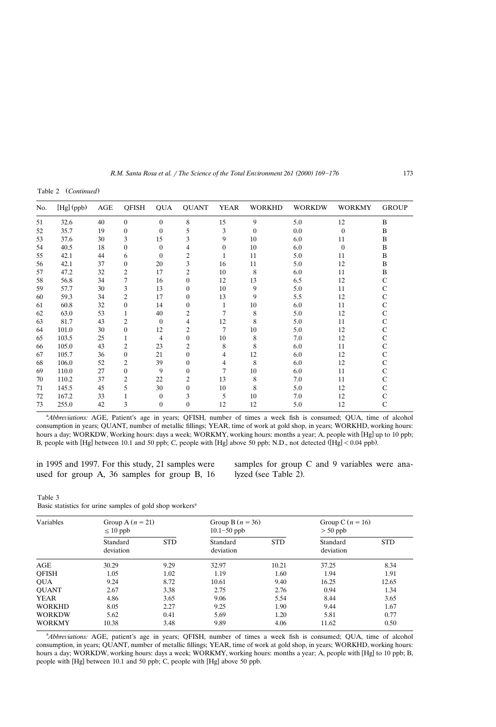Table 2 (Continued)

| No. | [Hg] (ppb) | AGE | <b>OFISH</b>     | <b>QUA</b>     | <b>QUANT</b>     | <b>YEAR</b>    | <b>WORKHD</b>  | <b>WORKDW</b> | <b>WORKMY</b> | <b>GROUP</b>  |
|-----|------------|-----|------------------|----------------|------------------|----------------|----------------|---------------|---------------|---------------|
| 51  | 32.6       | 40  | $\theta$         | $\theta$       | 8                | 15             | 9              | 5.0           | 12            | B             |
| 52  | 35.7       | 19  | $\theta$         | $\theta$       | 5                | 3              | $\overline{0}$ | 0.0           | $\theta$      | B             |
| 53  | 37.6       | 30  | 3                | 15             | 3                | 9              | 10             | 6.0           | 11            | B             |
| 54  | 40.5       | 18  | $\boldsymbol{0}$ | 0              |                  | $\overline{0}$ | 10             | 6.0           | $\mathbf{0}$  | B             |
| 55  | 42.1       | 44  | 6                | $\theta$       |                  |                | 11             | 5.0           | 11            | B             |
| 56  | 42.1       | 37  | $\mathbf{0}$     | 20             | 3                | 16             | 11             | 5.0           | 12            | B             |
| 57  | 47.2       | 32  | 2                | 17             | 2                | 10             | 8              | 6.0           | 11            | B             |
| 58  | 56.8       | 34  | 7                | 16             | $\mathbf{0}$     | 12             | 13             | 6.5           | 12            | С             |
| 59  | 57.7       | 30  | 3                | 13             | $\boldsymbol{0}$ | 10             | 9              | 5.0           | 11            | C             |
| 60  | 59.3       | 34  | 2                | 17             | $\mathbf{0}$     | 13             | 9              | 5.5           | 12            | C             |
| 61  | 60.8       | 32  | $\boldsymbol{0}$ | 14             | $\mathbf{0}$     |                | 10             | 6.0           | 11            | $\mathsf{C}$  |
| 62  | 63.0       | 53  |                  | 40             | 2                | $\overline{7}$ | 8              | 5.0           | 12            | $\mathbf C$   |
| 63  | 81.7       | 43  | 2                | $\Omega$       | 4                | 12             | 8              | 5.0           | 11            | $\mathsf{C}$  |
| 64  | 101.0      | 30  | $\mathbf{0}$     | 12             | 2                | $\overline{7}$ | 10             | 5.0           | 12            | $\mathsf{C}$  |
| 65  | 103.5      | 25  |                  | $\overline{4}$ | $\mathbf{0}$     | 10             | 8              | 7.0           | 12            | $\mathbf C$   |
| 66  | 105.0      | 43  | $\overline{c}$   | 23             | 2                | 8              | 8              | 6.0           | 11            | $\mathsf{C}$  |
| 67  | 105.7      | 36  | $\mathbf{0}$     | 21             | $\boldsymbol{0}$ | 4              | 12             | 6.0           | 12            | $\mathcal{C}$ |
| 68  | 106.0      | 52  | $\overline{c}$   | 39             | $\boldsymbol{0}$ | 4              | 8              | 6.0           | 12            | $\mathsf{C}$  |
| 69  | 110.0      | 27  | $\mathbf{0}$     | 9              | $\mathbf{0}$     | 7              | 10             | 6.0           | 11            | $\mathbf C$   |
| 70  | 110.2      | 37  | $\overline{c}$   | 22             | 2                | 13             | 8              | 7.0           | 11            | C             |
| 71  | 145.5      | 45  | 5                | 30             | $\boldsymbol{0}$ | 10             | 8              | 5.0           | 12            | $\mathsf{C}$  |
| 72  | 167.2      | 33  |                  | $\theta$       | 3                | 5              | 10             | 7.0           | 12            |               |
| 73  | 255.0      | 42  | 3                | $\theta$       | $\boldsymbol{0}$ | 12             | 12             | 5.0           | 12            | $\mathsf{C}$  |

<sup>a</sup>Abbreviations: AGE, Patient's age in years; QFISH, number of times a week fish is consumed; QUA, time of alcohol consumption in years; QUANT, number of metallic fillings; YEAR, time of work at gold shop, in years; WORKHD, working hours: hours a day; WORKDW, Working hours: days a week; WORKMY, working hours: months a year; A, people with [Hg] up to 10 ppb; B, people with [Hg] between 10.1 and 50 ppb; C, people with [Hg] above 50 ppb; N.D., not detected ([Hg] < 0.04 ppb).

in 1995 and 1997. For this study, 21 samples were used for group A, 36 samples for group B, 16 samples for group C and 9 variables were analyzed (see Table 2).

# Table 3

| Variables     | Group A $(n = 21)$<br>$\leq 10$ ppb |            | Group B $(n = 36)$<br>$10.1 - 50$ ppb |            | Group C $(n = 16)$<br>$>$ 50 ppb |            |
|---------------|-------------------------------------|------------|---------------------------------------|------------|----------------------------------|------------|
|               | Standard<br>deviation               | <b>STD</b> | Standard<br>deviation                 | <b>STD</b> | Standard<br>deviation            | <b>STD</b> |
| AGE           | 30.29                               | 9.29       | 32.97                                 | 10.21      | 37.25                            | 8.34       |
| <b>OFISH</b>  | 1.05                                | 1.02       | 1.19                                  | 1.60       | 1.94                             | 1.91       |
| <b>OUA</b>    | 9.24                                | 8.72       | 10.61                                 | 9.40       | 16.25                            | 12.65      |
| <b>OUANT</b>  | 2.67                                | 3.38       | 2.75                                  | 2.76       | 0.94                             | 1.34       |
| <b>YEAR</b>   | 4.86                                | 3.65       | 9.06                                  | 5.54       | 8.44                             | 3.65       |
| <b>WORKHD</b> | 8.05                                | 2.27       | 9.25                                  | 1.90       | 9.44                             | 1.67       |
| <b>WORKDW</b> | 5.62                                | 0.41       | 5.69                                  | 1.20       | 5.81                             | 0.77       |
| <b>WORKMY</b> | 10.38                               | 3.48       | 9.89                                  | 4.06       | 11.62                            | 0.50       |

<sup>a</sup>Abbreviations: AGE, patient's age in years; QFISH, number of times a week fish is consumed; QUA, time of alcohol consumption, in years; QUANT, number of metallic fillings; YEAR, time of work at gold shop, in years; WORKHD, working hours: hours a day; WORKDW, working hours: days a week; WORKMY, working hours: months a year; A, people with [Hg] to 10 ppb; B, people with [Hg] between 10.1 and 50 ppb; C, people with [Hg] above 50 ppb.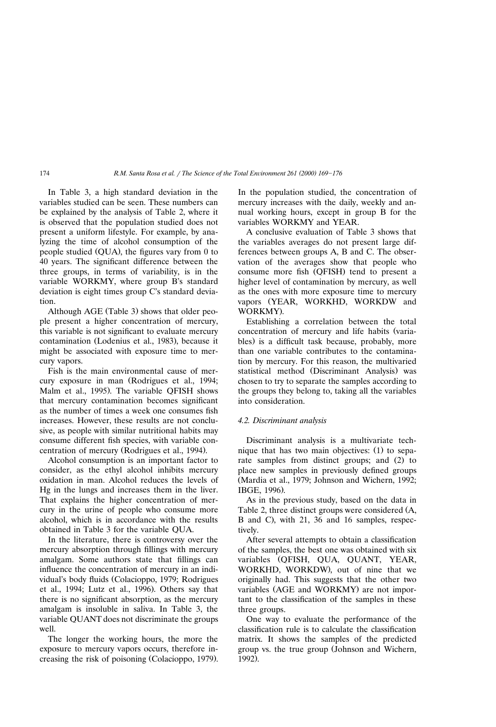In Table 3, a high standard deviation in the variables studied can be seen. These numbers can be explained by the analysis of Table 2, where it is observed that the population studied does not present a uniform lifestyle. For example, by analyzing the time of alcohol consumption of the people studied (QUA), the figures vary from 0 to 40 years. The significant difference between the three groups, in terms of variability, is in the variable WORKMY, where group B's standard deviation is eight times group C's standard deviation.

Although AGE (Table 3) shows that older people present a higher concentration of mercury, this variable is not significant to evaluate mercury contamination (Lodenius et al., 1983), because it might be associated with exposure time to mercury vapors.

Fish is the main environmental cause of mercury exposure in man (Rodrigues et al., 1994; Malm et al., 1995). The variable QFISH shows that mercury contamination becomes significant as the number of times a week one consumes fish increases. However, these results are not conclusive, as people with similar nutritional habits may consume different fish species, with variable concentration of mercury (Rodrigues et al., 1994).

Alcohol consumption is an important factor to consider, as the ethyl alcohol inhibits mercury oxidation in man. Alcohol reduces the levels of Hg in the lungs and increases them in the liver. That explains the higher concentration of mercury in the urine of people who consume more alcohol, which is in accordance with the results obtained in Table 3 for the variable QUA.

In the literature, there is controversy over the mercury absorption through fillings with mercury amalgam. Some authors state that fillings can influence the concentration of mercury in an individual's body fluids (Colacioppo, 1979; Rodrigues et al., 1994; Lutz et al., 1996). Others say that there is no significant absorption, as the mercury amalgam is insoluble in saliva. In Table 3, the variable QUANT does not discriminate the groups well.

The longer the working hours, the more the exposure to mercury vapors occurs, therefore increasing the risk of poisoning (Colacioppo, 1979). In the population studied, the concentration of mercury increases with the daily, weekly and annual working hours, except in group B for the variables WORKMY and YEAR.

A conclusive evaluation of Table 3 shows that the variables averages do not present large differences between groups A, B and C. The observation of the averages show that people who consume more fish (QFISH) tend to present a higher level of contamination by mercury, as well as the ones with more exposure time to mercury vapors (YEAR, WORKHD, WORKDW and WORKMY).

Establishing a correlation between the total concentration of mercury and life habits (variables) is a difficult task because, probably, more than one variable contributes to the contamination by mercury. For this reason, the multivaried statistical method (Discriminant Analysis) was chosen to try to separate the samples according to the groups they belong to, taking all the variables into consideration.

## *4.2. Discriminant analysis*

Discriminant analysis is a multivariate technique that has two main objectives: (1) to separate samples from distinct groups; and (2) to place new samples in previously defined groups (Mardia et al., 1979; Johnson and Wichern, 1992; IBGE, 1996).

As in the previous study, based on the data in Table 2, three distinct groups were considered (A, B and C), with 21, 36 and 16 samples, respectively.

After several attempts to obtain a classification of the samples, the best one was obtained with six variables (QFISH, QUA, QUANT, YEAR, WORKHD, WORKDW), out of nine that we originally had. This suggests that the other two variables (AGE and WORKMY) are not important to the classification of the samples in these three groups.

One way to evaluate the performance of the classification rule is to calculate the classification matrix. It shows the samples of the predicted group vs. the true group (Johnson and Wichern, 1992).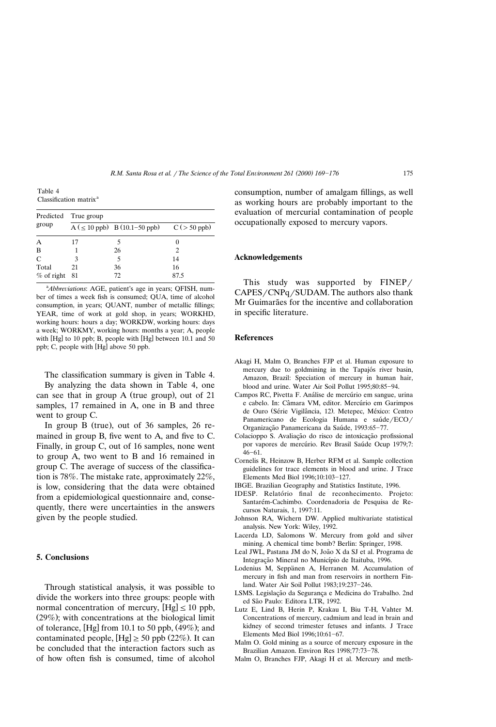Table 4 Classification matrix<sup>a</sup>

| Predicted    | True group |                                                |      |  |  |  |  |  |
|--------------|------------|------------------------------------------------|------|--|--|--|--|--|
| group        |            | $A (\leq 10$ ppb) B (10.1-50 ppb) C (> 50 ppb) |      |  |  |  |  |  |
| A            | 17         |                                                |      |  |  |  |  |  |
| B            |            | 26                                             |      |  |  |  |  |  |
| C            | 3          | 5                                              | 14   |  |  |  |  |  |
| Total        | 21         | 36                                             | 16   |  |  |  |  |  |
| $%$ of right | 81         | 72.                                            | 87.5 |  |  |  |  |  |

<sup>a</sup>Abbreviations: AGE, patient's age in years; QFISH, number of times a week fish is consumed; QUA, time of alcohol consumption, in years; QUANT, number of metallic fillings; YEAR, time of work at gold shop, in years; WORKHD, working hours: hours a day; WORKDW, working hours: days a week; WORKMY, working hours: months a year; A, people with  $[Hg]$  to 10 ppb; B, people with  $[Hg]$  between 10.1 and 50 ppb; C, people with [Hg] above 50 ppb.

The classification summary is given in Table 4.

By analyzing the data shown in Table 4, one can see that in group  $A$  (true group), out of  $21$ samples, 17 remained in A, one in B and three went to group C.

In group B (true), out of  $36$  samples,  $26$  remained in group B, five went to A, and five to C. Finally, in group C, out of 16 samples, none went to group A, two went to B and 16 remained in group C. The average of success of the classification is 78%. The mistake rate, approximately 22%, is low, considering that the data were obtained from a epidemiological questionnaire and, consequently, there were uncertainties in the answers given by the people studied.

## **5. Conclusions**

Through statistical analysis, it was possible to divide the workers into three groups: people with normal concentration of mercury,  $[Hg] \le 10$  ppb,  $(29\%)$ ; with concentrations at the biological limit of tolerance, [Hg] from 10.1 to 50 ppb,  $(49\%)$ ; and contaminated people,  $[Hg] \ge 50$  ppb (22%). It can be concluded that the interaction factors such as of how often fish is consumed, time of alcohol consumption, number of amalgam fillings, as well as working hours are probably important to the evaluation of mercurial contamination of people occupationally exposed to mercury vapors.

#### **Acknowledgements**

This study was supported by  $FINEP$  $CAPES/CNPq/SUDAM$ . The authors also thank Mr Guimarães for the incentive and collaboration in specific literature.

## **References**

- Akagi H, Malm O, Branches FJP et al. Human exposure to mercury due to goldmining in the Tapajós river basin, Amazon, Brazil: Speciation of mercury in human hair, blood and urine. Water Air Soil Pollut 1995;80:85-94.
- Campos RC, Pivetta F. Análise de mercúrio em sangue, urina e cabelo. In: Câmara VM, editor. Mercúrio em Garimpos de Ouro (Série Vigilância, 12). Metepec, México: Centro Panamericano de Ecologia Humana e saúde/ECO/ Organização Panamericana da Saúde, 1993:65-77.
- Colacioppo S. Avaliação do risco de intoxicação profissional por vapores de mercúrio. Rev Brasil Saúde Ocup 1979;7:  $46 - 61.$
- Cornelis R, Heinzow B, Herber RFM et al. Sample collection guidelines for trace elements in blood and urine. J Trace Elements Med Biol 1996;10:103-127.
- IBGE. Brazilian Geography and Statistics Institute, 1996.
- IDESP. Relatório final de reconhecimento. Projeto: Santarém-Cachimbo. Coordenadoria de Pesquisa de Recursos Naturais, 1, 1997:11.
- Johnson RA, Wichern DW. Applied multivariate statistical analysis. New York: Wiley, 1992.
- Lacerda LD, Salomons W. Mercury from gold and silver mining. A chemical time bomb? Berlin: Springer, 1998.
- Leal JWL, Pastana JM do N, João X da SJ et al. Programa de Integração Mineral no Município de Itaituba, 1996.
- Lodenius M, Seppänen A, Herranen M. Accumulation of mercury in fish and man from reservoirs in northern Finland. Water Air Soil Pollut 1983;19:237-246.
- LSMS. Legislação da Segurança e Medicina do Trabalho. 2nd ed São Paulo: Editora LTR, 1992.
- Lutz E, Lind B, Herin P, Krakau I, Biu T-H, Vahter M. Concentrations of mercury, cadmium and lead in brain and kidney of second trimester fetuses and infants. J Trace Elements Med Biol 1996;10:61-67.
- Malm O. Gold mining as a source of mercury exposure in the Brazilian Amazon. Environ Res 1998;77:73-78.
- Malm O, Branches FJP, Akagi H et al. Mercury and meth-